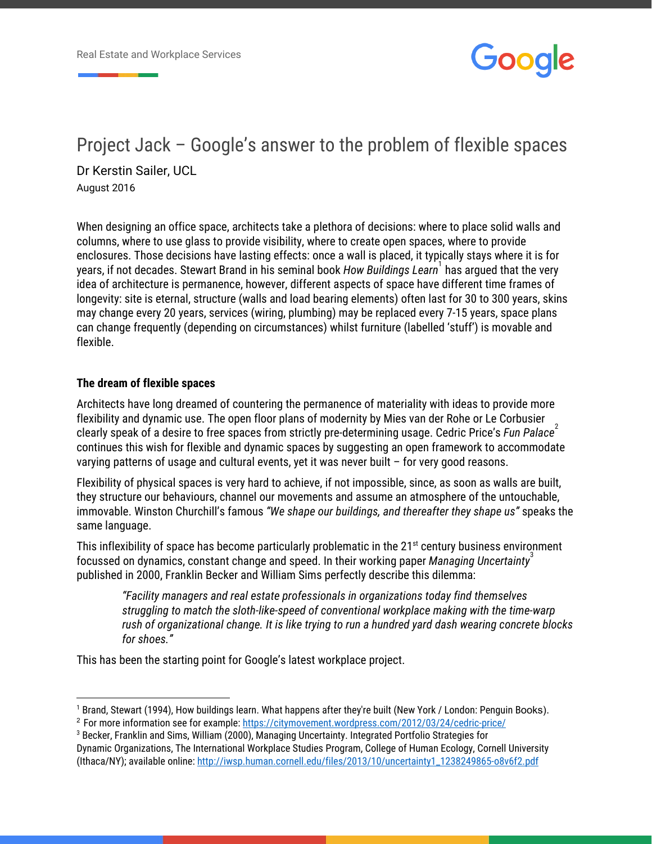

# Project Jack – Google's answer to the problem of flexible spaces Dr Kerstin Sailer, UCL

August 2016

When designing an office space, architects take a plethora of decisions: where to place solid walls and columns, where to use glass to provide visibility, where to create open spaces, where to provide enclosures. Those decisions have lasting effects: once a wall is placed, it typically stays where it is for years, if not decades. Stewart Brand in his seminal book *How Buildings Learn* has argued that the very <sup>1</sup> idea of architecture is permanence, however, different aspects of space have different time frames of longevity: site is eternal, structure (walls and load bearing elements) often last for 30 to 300 years, skins may change every 20 years, services (wiring, plumbing) may be replaced every 7-15 years, space plans can change frequently (depending on circumstances) whilst furniture (labelled 'stuff') is movable and flexible.

#### **The dream of flexible spaces**

Architects have long dreamed of countering the permanence of materiality with ideas to provide more flexibility and dynamic use. The open floor plans of modernity by Mies van der Rohe or Le Corbusier clearly speak of a desire to free spaces from strictly pre-determining usage. Cedric Price's *Fun Palace*<sup>2</sup> continues this wish for flexible and dynamic spaces by suggesting an open framework to accommodate varying patterns of usage and cultural events, yet it was never built – for very good reasons.

Flexibility of physical spaces is very hard to achieve, if not impossible, since, as soon as walls are built, they structure our behaviours, channel our movements and assume an atmosphere of the untouchable, immovable. Winston Churchill's famous *"We shape our buildings, and thereafter they shape us"* speaks the same language.

This inflexibility of space has become particularly problematic in the 21<sup>st</sup> century business environment focussed on dynamics, constant change and speed. In their working paper *Managing Uncertainty*<sup>3</sup> published in 2000, Franklin Becker and William Sims perfectly describe this dilemma:

*"Facility managers and real estate professionals in organizations today find themselves struggling to match the sloth-like-speed of conventional workplace making with the time-warp rush of organizational change. It is like trying to run a hundred yard dash wearing concrete blocks for shoes."*

This has been the starting point for Google's latest workplace project.

<sup>&</sup>lt;sup>1</sup> Brand, Stewart (1994), How buildings learn. What happens after they're built (New York / London: Penguin Books).

<sup>2</sup> For more information see for example: <https://citymovement.wordpress.com/2012/03/24/cedric-price/>

 $^{\rm 3}$  Becker, Franklin and Sims, William (2000), Managing Uncertainty. Integrated Portfolio Strategies for Dynamic Organizations, The International Workplace Studies Program, College of Human Ecology, Cornell University (Ithaca/NY); available online: [http://iwsp.human.cornell.edu/files/2013/10/uncertainty1\\_1238249865-o8v6f2.pd](http://iwsp.human.cornell.edu/files/2013/10/uncertainty1_1238249865-o8v6f2.pdf)[f](http://iwsp.human.cornell.edu/files/2013/10/uncertainty1_1238249865-o8v6f2.pdf)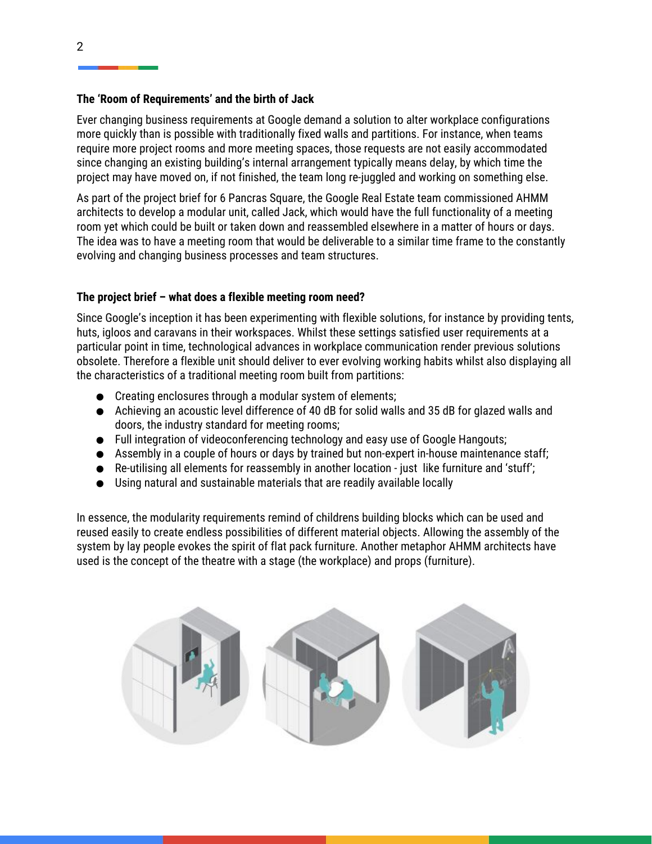## **The 'Room of Requirements' and the birth of Jack**

Ever changing business requirements at Google demand a solution to alter workplace configurations more quickly than is possible with traditionally fixed walls and partitions. For instance, when teams require more project rooms and more meeting spaces, those requests are not easily accommodated since changing an existing building's internal arrangement typically means delay, by which time the project may have moved on, if not finished, the team long re-juggled and working on something else.

As part of the project brief for 6 Pancras Square, the Google Real Estate team commissioned AHMM architects to develop a modular unit, called Jack, which would have the full functionality of a meeting room yet which could be built or taken down and reassembled elsewhere in a matter of hours or days. The idea was to have a meeting room that would be deliverable to a similar time frame to the constantly evolving and changing business processes and team structures.

# **The project brief – what does a flexible meeting room need?**

Since Google's inception it has been experimenting with flexible solutions, for instance by providing tents, huts, igloos and caravans in their workspaces. Whilst these settings satisfied user requirements at a particular point in time, technological advances in workplace communication render previous solutions obsolete. Therefore a flexible unit should deliver to ever evolving working habits whilst also displaying all the characteristics of a traditional meeting room built from partitions:

- Creating enclosures through a modular system of elements;
- Achieving an acoustic level difference of 40 dB for solid walls and 35 dB for glazed walls and doors, the industry standard for meeting rooms;
- Full integration of videoconferencing technology and easy use of Google Hangouts;
- Assembly in a couple of hours or days by trained but non-expert in-house maintenance staff;
- Re-utilising all elements for reassembly in another location just like furniture and 'stuff';
- Using natural and sustainable materials that are readily available locally

In essence, the modularity requirements remind of childrens building blocks which can be used and reused easily to create endless possibilities of different material objects. Allowing the assembly of the system by lay people evokes the spirit of flat pack furniture. Another metaphor AHMM architects have used is the concept of the theatre with a stage (the workplace) and props (furniture).

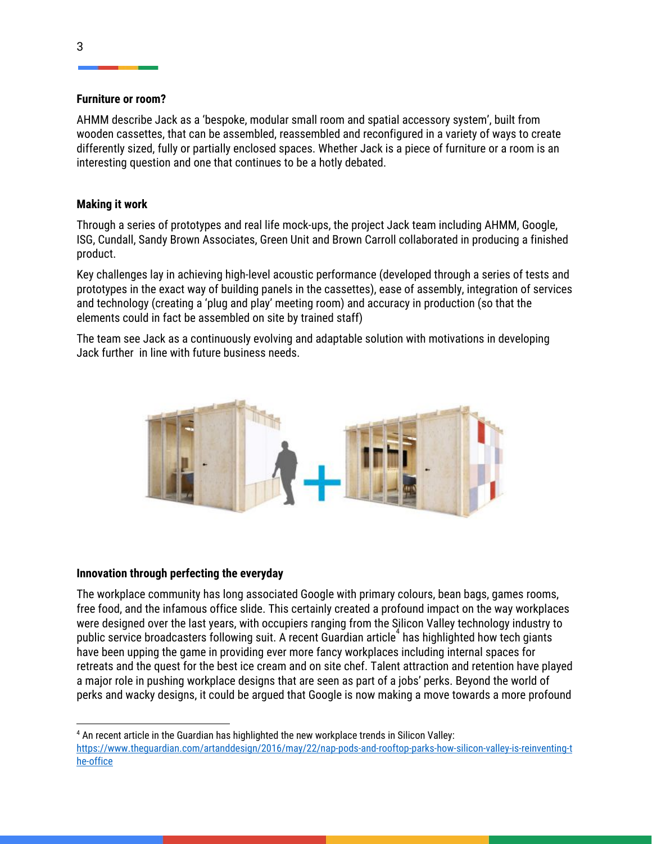#### **Furniture or room?**

AHMM describe Jack as a 'bespoke, modular small room and spatial accessory system', built from wooden cassettes, that can be assembled, reassembled and reconfigured in a variety of ways to create differently sized, fully or partially enclosed spaces. Whether Jack is a piece of furniture or a room is an interesting question and one that continues to be a hotly debated.

# **Making it work**

Through a series of prototypes and real life mock-ups, the project Jack team including AHMM, Google, ISG, Cundall, Sandy Brown Associates, Green Unit and Brown Carroll collaborated in producing a finished product.

Key challenges lay in achieving high-level acoustic performance (developed through a series of tests and prototypes in the exact way of building panels in the cassettes), ease of assembly, integration of services and technology (creating a 'plug and play' meeting room) and accuracy in production (so that the elements could in fact be assembled on site by trained staff)

The team see Jack as a continuously evolving and adaptable solution with motivations in developing Jack further in line with future business needs.



## **Innovation through perfecting the everyday**

The workplace community has long associated Google with primary colours, bean bags, games rooms, free food, and the infamous office slide. This certainly created a profound impact on the way workplaces were designed over the last years, with occupiers ranging from the Silicon Valley technology industry to public service broadcasters following suit. A recent Guardian article<sup>4</sup> has highlighted how tech giants have been upping the game in providing ever more fancy workplaces including internal spaces for retreats and the quest for the best ice cream and on site chef. Talent attraction and retention have played a major role in pushing workplace designs that are seen as part of a jobs' perks. Beyond the world of perks and wacky designs, it could be argued that Google is now making a move towards a more profound

<sup>4</sup> An recent article in the Guardian has highlighted the new workplace trends in Silicon Valley: [https://www.theguardian.com/artanddesign/2016/may/22/nap-pods-and-rooftop-parks-how-silicon-valley-is-reinventing-t](https://www.theguardian.com/artanddesign/2016/may/22/nap-pods-and-rooftop-parks-how-silicon-valley-is-reinventing-the-office) [he-office](https://www.theguardian.com/artanddesign/2016/may/22/nap-pods-and-rooftop-parks-how-silicon-valley-is-reinventing-the-office)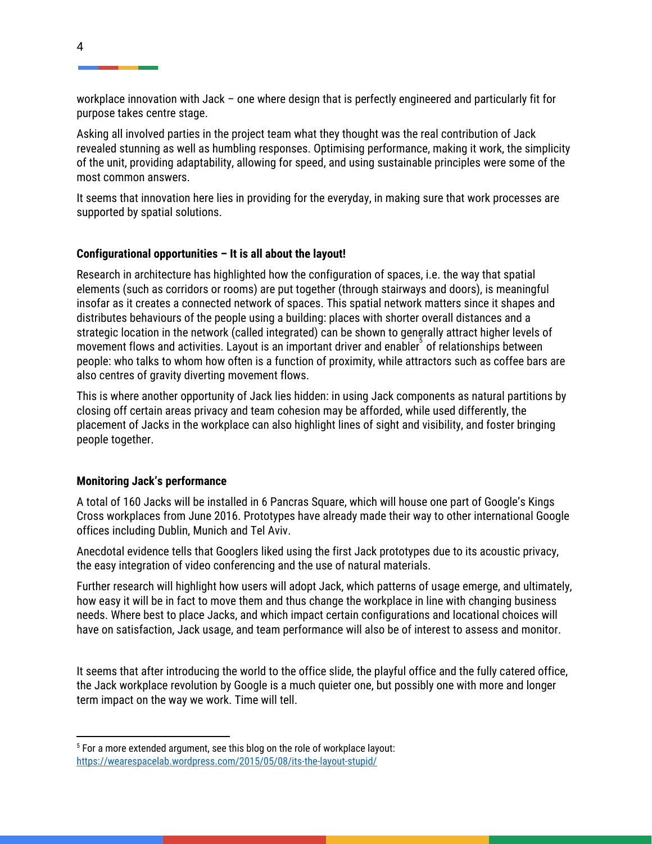workplace innovation with Jack – one where design that is perfectly engineered and particularly fit for purpose takes centre stage.

Asking all involved parties in the project team what they thought was the real contribution of Jack revealed stunning as well as humbling responses. Optimising performance, making it work, the simplicity of the unit, providing adaptability, allowing for speed, and using sustainable principles were some of the most common answers.

It seems that innovation here lies in providing for the everyday, in making sure that work processes are supported by spatial solutions.

## **Configurational opportunities – It is all about the layout!**

Research in architecture has highlighted how the configuration of spaces, i.e. the way that spatial elements (such as corridors or rooms) are put together (through stairways and doors), is meaningful insofar as it creates a connected network of spaces. This spatial network matters since it shapes and distributes behaviours of the people using a building: places with shorter overall distances and a strategic location in the network (called integrated) can be shown to generally attract higher levels of movement flows and activities. Layout is an important driver and enabler<sup>3</sup> of relationships between people: who talks to whom how often is a function of proximity, while attractors such as coffee bars are also centres of gravity diverting movement flows.

This is where another opportunity of Jack lies hidden: in using Jack components as natural partitions by closing off certain areas privacy and team cohesion may be afforded, while used differently, the placement of Jacks in the workplace can also highlight lines of sight and visibility, and foster bringing people together.

## **Monitoring Jack's performance**

A total of 160 Jacks will be installed in 6 Pancras Square, which will house one part of Google's Kings Cross workplaces from June 2016. Prototypes have already made their way to other international Google offices including Dublin, Munich and Tel Aviv.

Anecdotal evidence tells that Googlers liked using the first Jack prototypes due to its acoustic privacy, the easy integration of video conferencing and the use of natural materials.

Further research will highlight how users will adopt Jack, which patterns of usage emerge, and ultimately, how easy it will be in fact to move them and thus change the workplace in line with changing business needs. Where best to place Jacks, and which impact certain configurations and locational choices will have on satisfaction, Jack usage, and team performance will also be of interest to assess and monitor.

It seems that after introducing the world to the office slide, the playful office and the fully catered office, the Jack workplace revolution by Google is a much quieter one, but possibly one with more and longer term impact on the way we work. Time will tell.

<sup>&</sup>lt;sup>5</sup> For a more extended argument, see this blog on the role of workplace layout: <https://wearespacelab.wordpress.com/2015/05/08/its-the-layout-stupid/>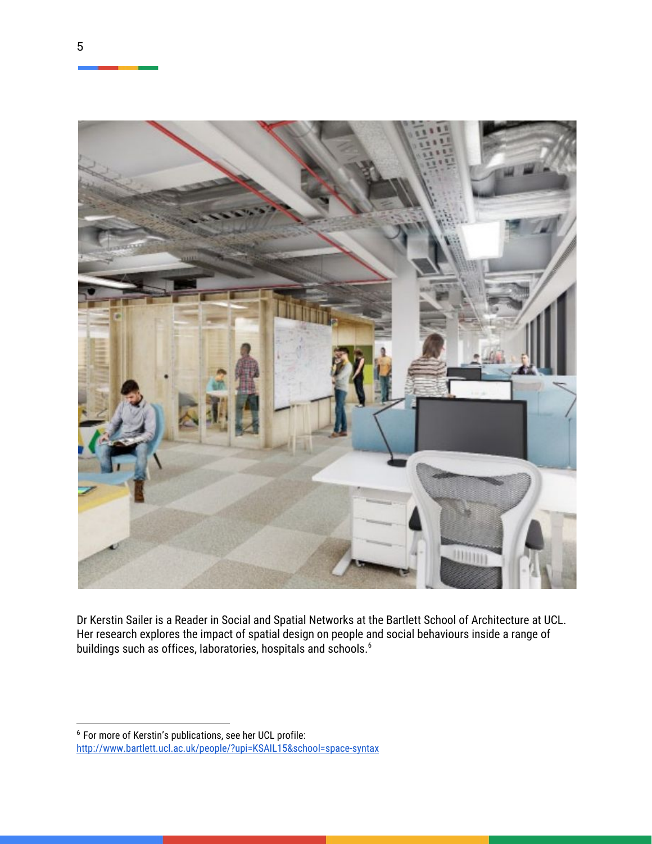

Dr Kerstin Sailer is a Reader in Social and Spatial Networks at the Bartlett School of Architecture at UCL. Her research explores the impact of spatial design on people and social behaviours inside a range of buildings such as offices, laboratories, hospitals and schools. <sup>6</sup>

<sup>6</sup> For more of Kerstin's publications, see her UCL profile: <http://www.bartlett.ucl.ac.uk/people/?upi=KSAIL15&school=space-syntax>